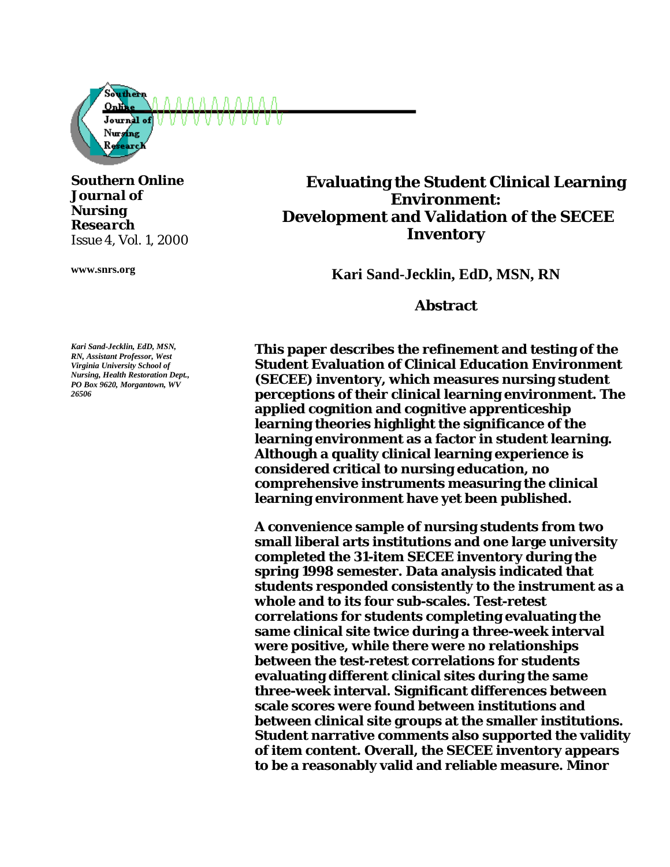

*Southern Online Journal of Nursing Research Issue 4, Vol. 1, 2000*

**www.snrs.org**

**Evaluating the Student Clinical Learning Environment: Development and Validation of the SECEE Inventory**

**Kari Sand-Jecklin, EdD, MSN, RN**

**Abstract** 

**This paper describes the refinement and testing of the Student Evaluation of Clinical Education Environment (SECEE) inventory, which measures nursing student perceptions of their clinical learning environment. The applied cognition and cognitive apprenticeship learning theories highlight the significance of the learning environment as a factor in student learning. Although a quality clinical learning experience is considered critical to nursing education, no comprehensive instruments measuring the clinical learning environment have yet been published.** 

**A convenience sample of nursing students from two small liberal arts institutions and one large university completed the 31-item SECEE inventory during the spring 1998 semester. Data analysis indicated that students responded consistently to the instrument as a whole and to its four sub-scales. Test-retest correlations for students completing evaluating the same clinical site twice during a three-week interval were positive, while there were no relationships between the test-retest correlations for students evaluating different clinical sites during the same three-week interval. Significant differences between scale scores were found between institutions and between clinical site groups at the smaller institutions. Student narrative comments also supported the validity of item content. Overall, the SECEE inventory appears to be a reasonably valid and reliable measure. Minor** 

*Kari Sand-Jecklin, EdD, MSN, RN, Assistant Professor, West Virginia University School of Nursing, Health Restoration Dept., PO Box 9620, Morgantown, WV 26506*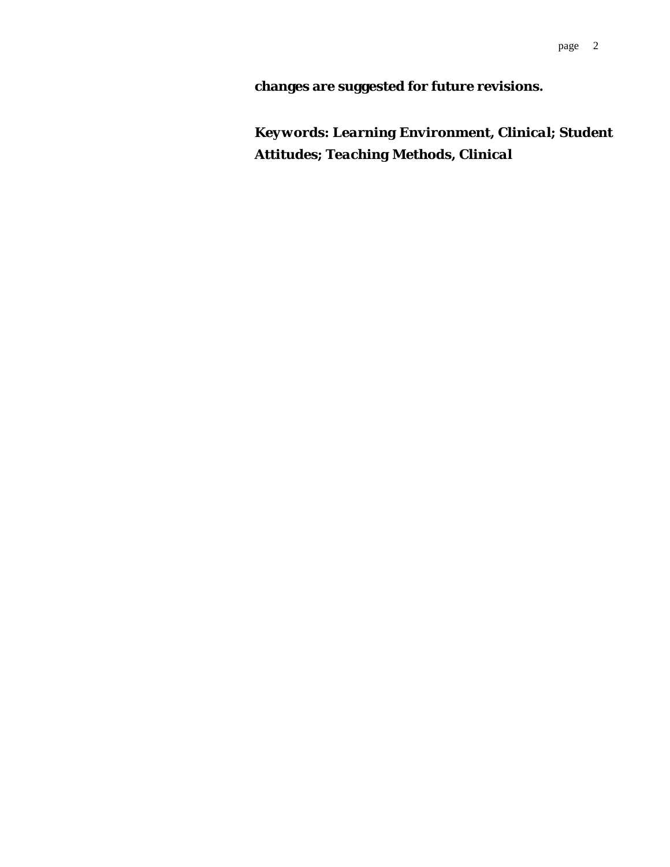**changes are suggested for future revisions.**

*Keywords: Learning Environment, Clinical; Student Attitudes; Teaching Methods, Clinical*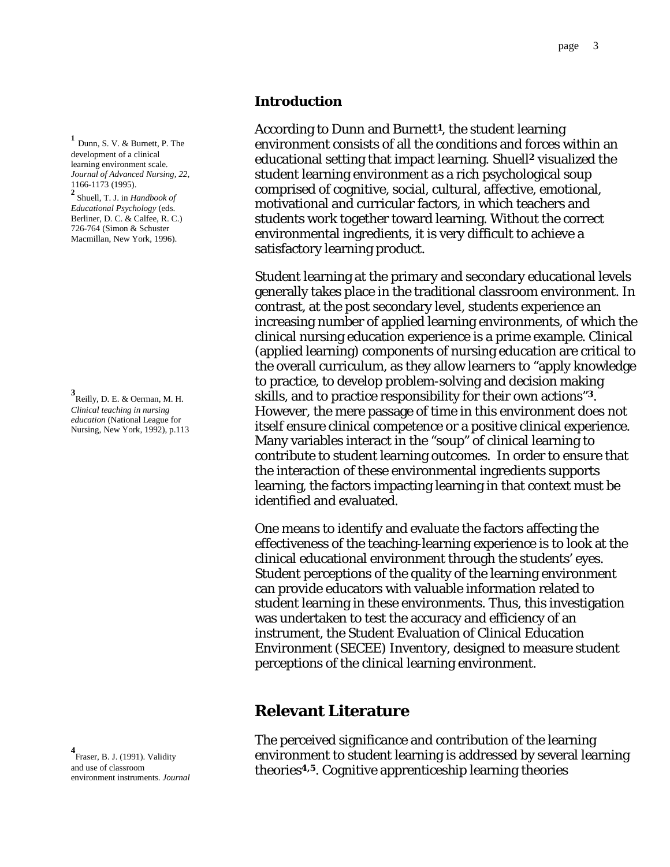#### **Introduction**

According to Dunn and Burnett**1**, the student learning environment consists of all the conditions and forces within an educational setting that impact learning. Shuell**2** visualized the student learning environment as a rich psychological soup comprised of cognitive, social, cultural, affective, emotional, motivational and curricular factors, in which teachers and students work together toward learning. Without the correct environmental ingredients, it is very difficult to achieve a satisfactory learning product.

Student learning at the primary and secondary educational levels generally takes place in the traditional classroom environment. In contrast, at the post secondary level, students experience an increasing number of applied learning environments, of which the clinical nursing education experience is a prime example. Clinical (applied learning) components of nursing education are critical to the overall curriculum, as they allow learners to "apply knowledge to practice, to develop problem-solving and decision making skills, and to practice responsibility for their own actions"**3**. However, the mere passage of time in this environment does not itself ensure clinical competence or a positive clinical experience. Many variables interact in the "soup" of clinical learning to contribute to student learning outcomes. In order to ensure that the interaction of these environmental ingredients supports learning, the factors impacting learning in that context must be identified and evaluated.

 One means to identify and evaluate the factors affecting the effectiveness of the teaching-learning experience is to look at the clinical educational environment through the students' eyes. Student perceptions of the quality of the learning environment can provide educators with valuable information related to student learning in these environments. Thus, this investigation was undertaken to test the accuracy and efficiency of an instrument, the Student Evaluation of Clinical Education Environment (SECEE) Inventory, designed to measure student perceptions of the clinical learning environment.

## **Relevant Literature**

The perceived significance and contribution of the learning environment to student learning is addressed by several learning theories**4,5**. Cognitive apprenticeship learning theories

**<sup>1</sup>** Dunn, S. V. & Burnett, P. The development of a clinical learning environment scale. *Journal of Advanced Nursing, 22*, 1166-1173 (1995).

**2** Shuell, T. J. in *Handbook of Educational Psychology* (eds. Berliner, D. C. & Calfee, R. C.) 726-764 (Simon & Schuster Macmillan, New York, 1996).

**3** Reilly, D. E. & Oerman, M. H. *Clinical teaching in nursing education* (National League for Nursing, New York, 1992), p.113

**4** Fraser, B. J. (1991). Validity and use of classroom environment instruments. *Journal*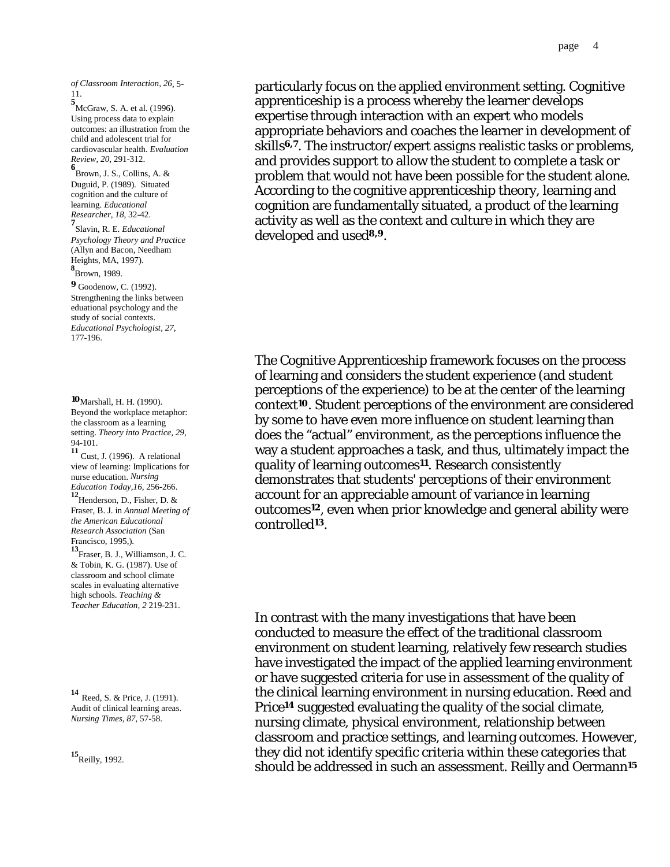*of Classroom Interaction, 26*, 5- 11.

**5**<br>McGraw, S. A. et al. (1996). Using process data to explain outcomes: an illustration from the child and adolescent trial for cardiovascular health. *Evaluation Review, 20*, 291-312.

**6** Brown, J. S., Collins, A. & Duguid, P. (1989). Situated cognition and the culture of learning. *Educational Researcher*, *18*, 32-42.

**7** Slavin, R. E. *Educational Psychology Theory and Practice*  (Allyn and Bacon, Needham Heights, MA, 1997).

**8** Brown, 1989.

**<sup>9</sup>** Goodenow, C. (1992). Strengthening the links between eduational psychology and the study of social contexts. *Educational Psychologist, 27*, 177-196.

**<sup>10</sup>**Marshall, H. H. (1990). Beyond the workplace metaphor: the classroom as a learning setting. *Theory into Practice, 29*, 94-101.

**<sup>11</sup>** Cust, J. (1996). A relational view of learning: Implications for nurse education. *Nursing Education Today,16*, 256-266.

**<sup>12</sup>**Henderson, D., Fisher, D. & Fraser, B. J. in *Annual Meeting of the American Educational Research Association* (San Francisco, 1995,).

**<sup>13</sup>**Fraser, B. J., Williamson, J. C. & Tobin, K. G. (1987). Use of classroom and school climate scales in evaluating alternative high schools. *Teaching & Teacher Education, 2* 219-231.

**<sup>14</sup>** Reed, S. & Price, J. (1991). Audit of clinical learning areas. *Nursing Times, 87*, 57-58.

**<sup>15</sup>**Reilly, 1992.

particularly focus on the applied environment setting. Cognitive apprenticeship is a process whereby the learner develops expertise through interaction with an expert who models appropriate behaviors and coaches the learner in development of skills**6,7**. The instructor/expert assigns realistic tasks or problems, and provides support to allow the student to complete a task or problem that would not have been possible for the student alone. According to the cognitive apprenticeship theory, learning and cognition are fundamentally situated, a product of the learning activity as well as the context and culture in which they are developed and used**8,9**.

The Cognitive Apprenticeship framework focuses on the process of learning and considers the student experience (and student perceptions of the experience) to be at the center of the learning context**10**. Student perceptions of the environment are considered by some to have even more influence on student learning than does the "actual" environment, as the perceptions influence the way a student approaches a task, and thus, ultimately impact the quality of learning outcomes**11**. Research consistently demonstrates that students' perceptions of their environment account for an appreciable amount of variance in learning outcomes**12**, even when prior knowledge and general ability were controlled**13**.

 In contrast with the many investigations that have been conducted to measure the effect of the traditional classroom environment on student learning, relatively few research studies have investigated the impact of the applied learning environment or have suggested criteria for use in assessment of the quality of the clinical learning environment in nursing education. Reed and Price**14** suggested evaluating the quality of the social climate, nursing climate, physical environment, relationship between classroom and practice settings, and learning outcomes. However, they did not identify specific criteria within these categories that should be addressed in such an assessment. Reilly and Oermann**15**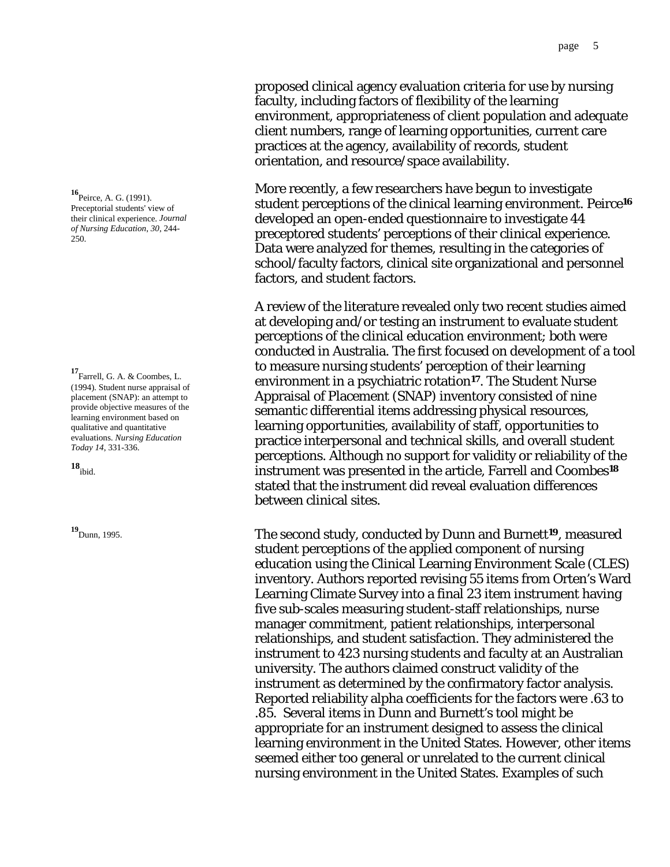proposed clinical agency evaluation criteria for use by nursing faculty, including factors of flexibility of the learning environment, appropriateness of client population and adequate client numbers, range of learning opportunities, current care practices at the agency, availability of records, student orientation, and resource/space availability.

More recently, a few researchers have begun to investigate student perceptions of the clinical learning environment. Peirce**<sup>16</sup>** developed an open-ended questionnaire to investigate 44 preceptored students' perceptions of their clinical experience. Data were analyzed for themes, resulting in the categories of school/faculty factors, clinical site organizational and personnel factors, and student factors.

 A review of the literature revealed only two recent studies aimed at developing and/or testing an instrument to evaluate student perceptions of the clinical education environment; both were conducted in Australia. The first focused on development of a tool to measure nursing students' perception of their learning environment in a psychiatric rotation**17**. The Student Nurse Appraisal of Placement (SNAP) inventory consisted of nine semantic differential items addressing physical resources, learning opportunities, availability of staff, opportunities to practice interpersonal and technical skills, and overall student perceptions. Although no support for validity or reliability of the instrument was presented in the article, Farrell and Coombes**<sup>18</sup>** stated that the instrument did reveal evaluation differences between clinical sites.

**<sup>19</sup>**Dunn, 1995. The second study, conducted by Dunn and Burnett**19**, measured student perceptions of the applied component of nursing education using the Clinical Learning Environment Scale (CLES) inventory. Authors reported revising 55 items from Orten's Ward Learning Climate Survey into a final 23 item instrument having five sub-scales measuring student-staff relationships, nurse manager commitment, patient relationships, interpersonal relationships, and student satisfaction. They administered the instrument to 423 nursing students and faculty at an Australian university. The authors claimed construct validity of the instrument as determined by the confirmatory factor analysis. Reported reliability alpha coefficients for the factors were .63 to .85. Several items in Dunn and Burnett's tool might be appropriate for an instrument designed to assess the clinical learning environment in the United States. However, other items seemed either too general or unrelated to the current clinical nursing environment in the United States. Examples of such

**<sup>16</sup>**Peirce, A. G. (1991). Preceptorial students' view of their clinical experience. *Journal of Nursing Education*, *30*, 244- 250.

**<sup>17</sup>**Farrell, G. A. & Coombes, L. (1994). Student nurse appraisal of placement (SNAP): an attempt to provide objective measures of the learning environment based on qualitative and quantitative evaluations. *Nursing Education Today 14*, 331-336.

**18** ibid.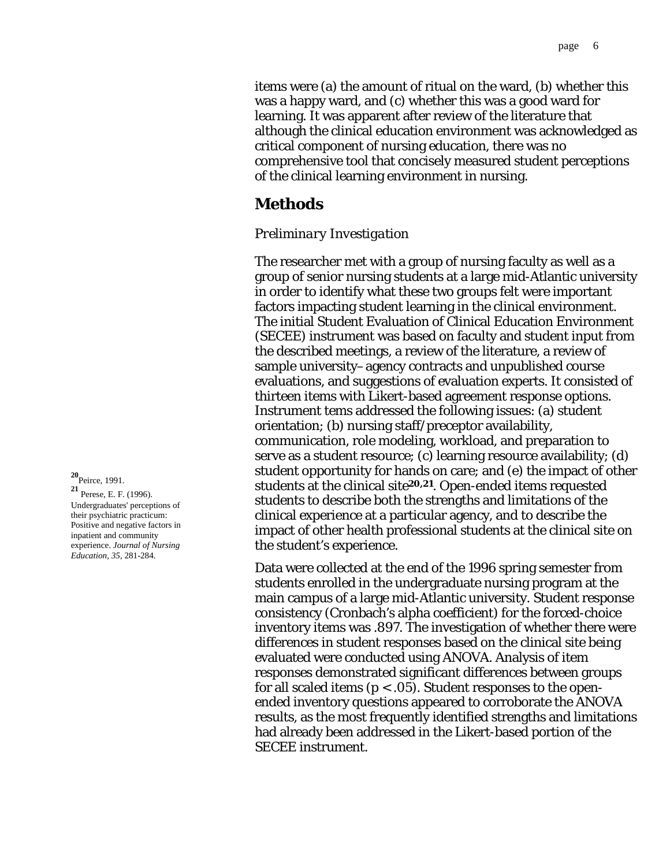items were (a) the amount of ritual on the ward, (b) whether this was a happy ward, and (c) whether this was a good ward for learning. It was apparent after review of the literature that although the clinical education environment was acknowledged as critical component of nursing education, there was no comprehensive tool that concisely measured student perceptions of the clinical learning environment in nursing.

## **Methods**

#### *Preliminary Investigation*

The researcher met with a group of nursing faculty as well as a group of senior nursing students at a large mid-Atlantic university in order to identify what these two groups felt were important factors impacting student learning in the clinical environment. The initial Student Evaluation of Clinical Education Environment (SECEE) instrument was based on faculty and student input from the described meetings, a review of the literature, a review of sample university–agency contracts and unpublished course evaluations, and suggestions of evaluation experts. It consisted of thirteen items with Likert-based agreement response options. Instrument tems addressed the following issues: (a) student orientation; (b) nursing staff/preceptor availability, communication, role modeling, workload, and preparation to serve as a student resource; (c) learning resource availability; (d) student opportunity for hands on care; and (e) the impact of other students at the clinical site**20,21**. Open-ended items requested students to describe both the strengths and limitations of the clinical experience at a particular agency, and to describe the impact of other health professional students at the clinical site on the student's experience.

 Data were collected at the end of the 1996 spring semester from students enrolled in the undergraduate nursing program at the main campus of a large mid-Atlantic university. Student response consistency (Cronbach's alpha coefficient) for the forced-choice inventory items was .897. The investigation of whether there were differences in student responses based on the clinical site being evaluated were conducted using ANOVA. Analysis of item responses demonstrated significant differences between groups for all scaled items (*p* < .05). Student responses to the openended inventory questions appeared to corroborate the ANOVA results, as the most frequently identified strengths and limitations had already been addressed in the Likert-based portion of the SECEE instrument.

**<sup>20</sup>**Peirce, 1991. **<sup>21</sup>** Perese, E. F. (1996). Undergraduates' perceptions of their psychiatric practicum: Positive and negative factors in inpatient and community experience. *Journal of Nursing Education, 35*, 281-284.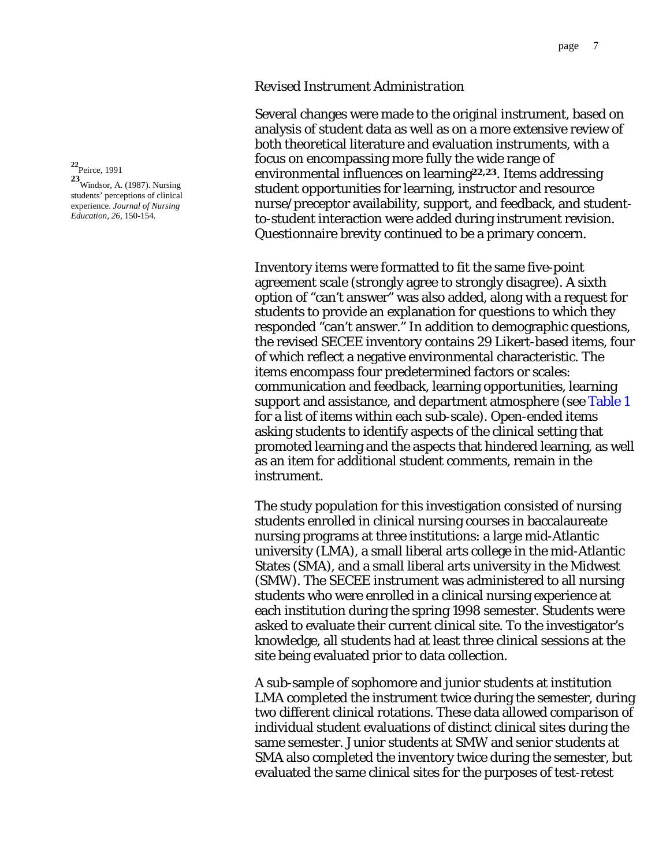#### *Revised Instrument Administration*

Several changes were made to the original instrument, based on analysis of student data as well as on a more extensive review of both theoretical literature and evaluation instruments, with a focus on encompassing more fully the wide range of environmental influences on learning**22,23**. Items addressing student opportunities for learning, instructor and resource nurse/preceptor availability, support, and feedback, and studentto-student interaction were added during instrument revision. Questionnaire brevity continued to be a primary concern.

 Inventory items were formatted to fit the same five-point agreement scale (strongly agree to strongly disagree). A sixth option of "can't answer" was also added, along with a request for students to provide an explanation for questions to which they responded "can't answer." In addition to demographic questions, the revised SECEE inventory contains 29 Likert-based items, four of which reflect a negative environmental characteristic. The items encompass four predetermined factors or scales: communication and feedback, learning opportunities, learning support and assistance, and department atmosphere (see [Table 1](#page-12-0) for a list of items within each sub-scale). Open-ended items asking students to identify aspects of the clinical setting that promoted learning and the aspects that hindered learning, as well as an item for additional student comments, remain in the instrument.

The study population for this investigation consisted of nursing students enrolled in clinical nursing courses in baccalaureate nursing programs at three institutions: a large mid-Atlantic university (LMA), a small liberal arts college in the mid-Atlantic States (SMA), and a small liberal arts university in the Midwest (SMW). The SECEE instrument was administered to all nursing students who were enrolled in a clinical nursing experience at each institution during the spring 1998 semester. Students were asked to evaluate their current clinical site. To the investigator's knowledge, all students had at least three clinical sessions at the site being evaluated prior to data collection.

 A sub-sample of sophomore and junior students at institution LMA completed the instrument twice during the semester, during two different clinical rotations. These data allowed comparison of individual student evaluations of distinct clinical sites during the same semester. Junior students at SMW and senior students at SMA also completed the inventory twice during the semester, but evaluated the same clinical sites for the purposes of test-retest

<span id="page-6-0"></span>**<sup>22</sup>**Peirce, 1991

**23** Windsor, A. (1987). Nursing students' perceptions of clinical experience. *Journal of Nursing Education, 26*, 150-154.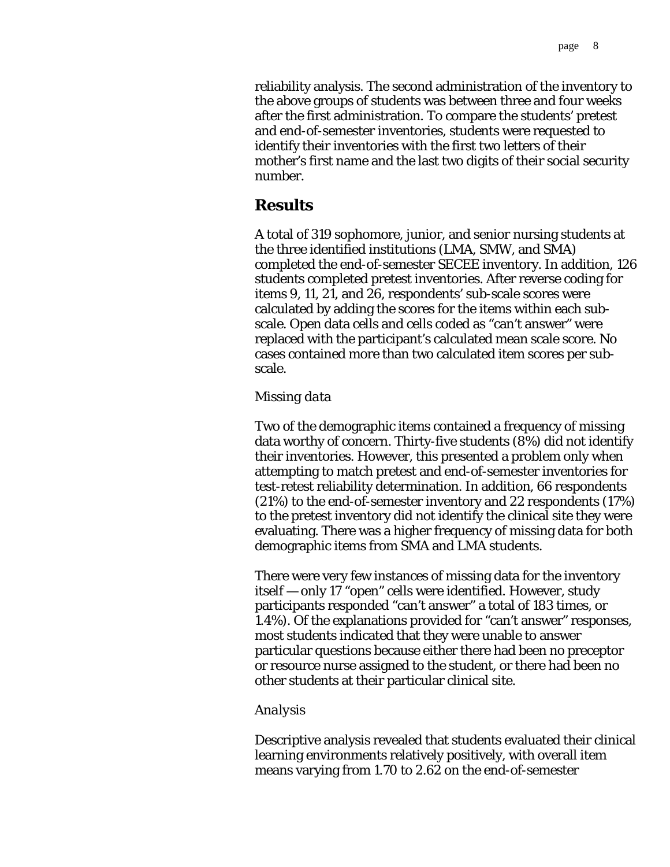reliability analysis. The second administration of the inventory to the above groups of students was between three and four weeks after the first administration. To compare the students' pretest and end-of-semester inventories, students were requested to identify their inventories with the first two letters of their mother's first name and the last two digits of their social security number.

# **Results**

A total of 319 sophomore, junior, and senior nursing students at the three identified institutions (LMA, SMW, and SMA) completed the end-of-semester SECEE inventory. In addition, 126 students completed pretest inventories. After reverse coding for items 9, 11, 21, and 26, respondents' sub-scale scores were calculated by adding the scores for the items within each subscale. Open data cells and cells coded as "can't answer" were replaced with the participant's calculated mean scale score. No cases contained more than two calculated item scores per subscale.

### *Missing data*

Two of the demographic items contained a frequency of missing data worthy of concern. Thirty-five students (8%) did not identify their inventories. However, this presented a problem only when attempting to match pretest and end-of-semester inventories for test-retest reliability determination. In addition, 66 respondents (21%) to the end-of-semester inventory and 22 respondents (17%) to the pretest inventory did not identify the clinical site they were evaluating. There was a higher frequency of missing data for both demographic items from SMA and LMA students.

There were very few instances of missing data for the inventory itself — only 17 "open" cells were identified. However, study participants responded "can't answer" a total of 183 times, or 1.4%). Of the explanations provided for "can't answer" responses, most students indicated that they were unable to answer particular questions because either there had been no preceptor or resource nurse assigned to the student, or there had been no other students at their particular clinical site.

### *Analysis*

Descriptive analysis revealed that students evaluated their clinical learning environments relatively positively, with overall item means varying from 1.70 to 2.62 on the end-of-semester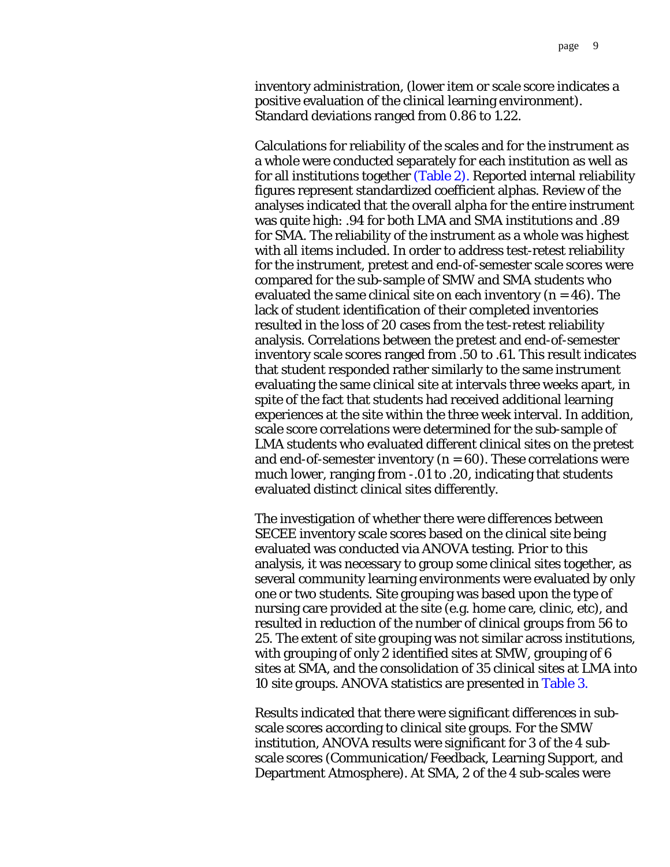<span id="page-8-0"></span>inventory administration, (lower item or scale score indicates a positive evaluation of the clinical learning environment). Standard deviations ranged from 0.86 to 1.22.

Calculations for reliability of the scales and for the instrument as a whole were conducted separately for each institution as well as for all institutions together [\(Table 2\).](#page-13-0) Reported internal reliability figures represent standardized coefficient alphas. Review of the analyses indicated that the overall alpha for the entire instrument was quite high: .94 for both LMA and SMA institutions and .89 for SMA. The reliability of the instrument as a whole was highest with all items included. In order to address test-retest reliability for the instrument, pretest and end-of-semester scale scores were compared for the sub-sample of SMW and SMA students who evaluated the same clinical site on each inventory  $(n = 46)$ . The lack of student identification of their completed inventories resulted in the loss of 20 cases from the test-retest reliability analysis. Correlations between the pretest and end-of-semester inventory scale scores ranged from .50 to .61. This result indicates that student responded rather similarly to the same instrument evaluating the same clinical site at intervals three weeks apart, in spite of the fact that students had received additional learning experiences at the site within the three week interval. In addition, scale score correlations were determined for the sub-sample of LMA students who evaluated different clinical sites on the pretest and end-of-semester inventory  $(n = 60)$ . These correlations were much lower, ranging from -.01 to .20, indicating that students evaluated distinct clinical sites differently.

The investigation of whether there were differences between SECEE inventory scale scores based on the clinical site being evaluated was conducted via ANOVA testing. Prior to this analysis, it was necessary to group some clinical sites together, as several community learning environments were evaluated by only one or two students. Site grouping was based upon the type of nursing care provided at the site (e.g. home care, clinic, etc), and resulted in reduction of the number of clinical groups from 56 to 25. The extent of site grouping was not similar across institutions, with grouping of only 2 identified sites at SMW, grouping of 6 sites at SMA, and the consolidation of 35 clinical sites at LMA into 10 site groups. ANOVA statistics are presented in [Table 3.](#page-14-0) 

Results indicated that there were significant differences in subscale scores according to clinical site groups. For the SMW institution, ANOVA results were significant for 3 of the 4 subscale scores (Communication/Feedback, Learning Support, and Department Atmosphere). At SMA, 2 of the 4 sub-scales were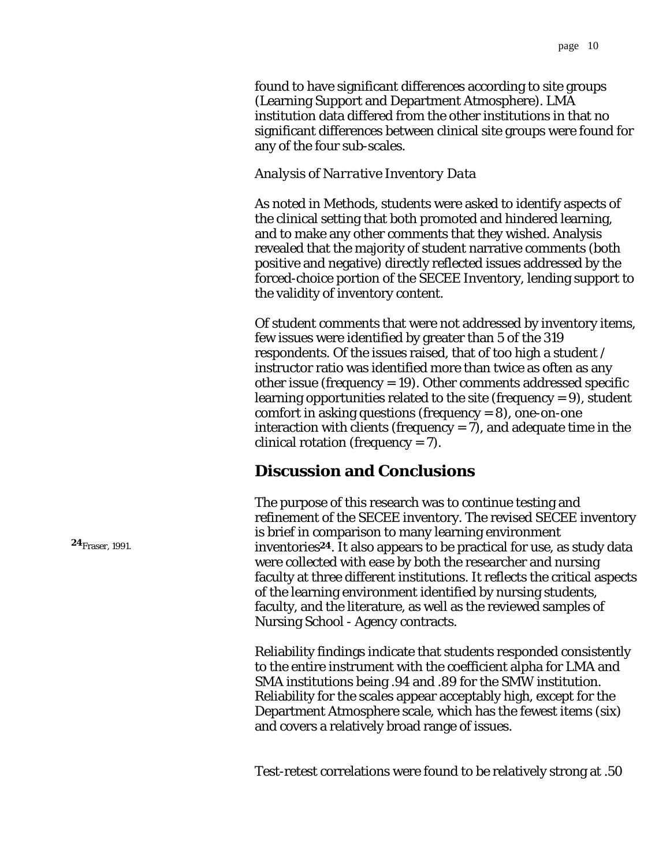found to have significant differences according to site groups (Learning Support and Department Atmosphere). LMA institution data differed from the other institutions in that no significant differences between clinical site groups were found for any of the four sub-scales.

#### *Analysis of Narrative Inventory Data*

As noted in Methods, students were asked to identify aspects of the clinical setting that both promoted and hindered learning, and to make any other comments that they wished. Analysis revealed that the majority of student narrative comments (both positive and negative) directly reflected issues addressed by the forced-choice portion of the SECEE Inventory, lending support to the validity of inventory content.

Of student comments that were not addressed by inventory items, few issues were identified by greater than 5 of the 319 respondents. Of the issues raised, that of too high a student / instructor ratio was identified more than twice as often as any other issue (frequency = 19). Other comments addressed specific learning opportunities related to the site (frequency = 9), student comfort in asking questions (frequency  $= 8$ ), one-on-one interaction with clients (frequency  $= 7$ ), and adequate time in the clinical rotation (frequency = 7).

# **Discussion and Conclusions**

The purpose of this research was to continue testing and refinement of the SECEE inventory. The revised SECEE inventory is brief in comparison to many learning environment inventories**24**. It also appears to be practical for use, as study data were collected with ease by both the researcher and nursing faculty at three different institutions. It reflects the critical aspects of the learning environment identified by nursing students, faculty, and the literature, as well as the reviewed samples of Nursing School - Agency contracts.

Reliability findings indicate that students responded consistently to the entire instrument with the coefficient alpha for LMA and SMA institutions being .94 and .89 for the SMW institution. Reliability for the scales appear acceptably high, except for the Department Atmosphere scale, which has the fewest items (six) and covers a relatively broad range of issues.

Test-retest correlations were found to be relatively strong at .50

**24**Fraser, 1991.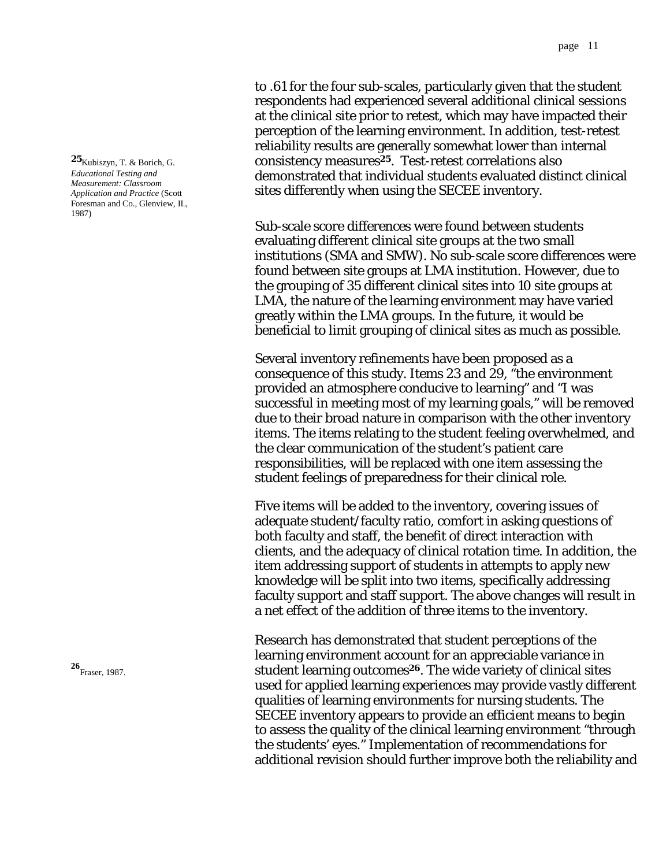to .61 for the four sub-scales, particularly given that the student respondents had experienced several additional clinical sessions at the clinical site prior to retest, which may have impacted their perception of the learning environment. In addition, test-retest reliability results are generally somewhat lower than internal consistency measures**25**. Test-retest correlations also demonstrated that individual students evaluated distinct clinical sites differently when using the SECEE inventory.

Sub-scale score differences were found between students evaluating different clinical site groups at the two small institutions (SMA and SMW). No sub-scale score differences were found between site groups at LMA institution. However, due to the grouping of 35 different clinical sites into 10 site groups at LMA, the nature of the learning environment may have varied greatly within the LMA groups. In the future, it would be beneficial to limit grouping of clinical sites as much as possible.

Several inventory refinements have been proposed as a consequence of this study. Items 23 and 29, "the environment provided an atmosphere conducive to learning" and "I was successful in meeting most of my learning goals," will be removed due to their broad nature in comparison with the other inventory items. The items relating to the student feeling overwhelmed, and the clear communication of the student's patient care responsibilities, will be replaced with one item assessing the student feelings of preparedness for their clinical role.

Five items will be added to the inventory, covering issues of adequate student/faculty ratio, comfort in asking questions of both faculty and staff, the benefit of direct interaction with clients, and the adequacy of clinical rotation time. In addition, the item addressing support of students in attempts to apply new knowledge will be split into two items, specifically addressing faculty support and staff support. The above changes will result in a net effect of the addition of three items to the inventory.

Research has demonstrated that student perceptions of the learning environment account for an appreciable variance in student learning outcomes**26**. The wide variety of clinical sites used for applied learning experiences may provide vastly different qualities of learning environments for nursing students. The SECEE inventory appears to provide an efficient means to begin to assess the quality of the clinical learning environment "through the students' eyes." Implementation of recommendations for additional revision should further improve both the reliability and

**25**Kubiszyn, T. & Borich, G. *Educational Testing and Measurement: Classroom Application and Practice* (Scott Foresman and Co., Glenview, IL, 1987)

**26** Fraser, 1987.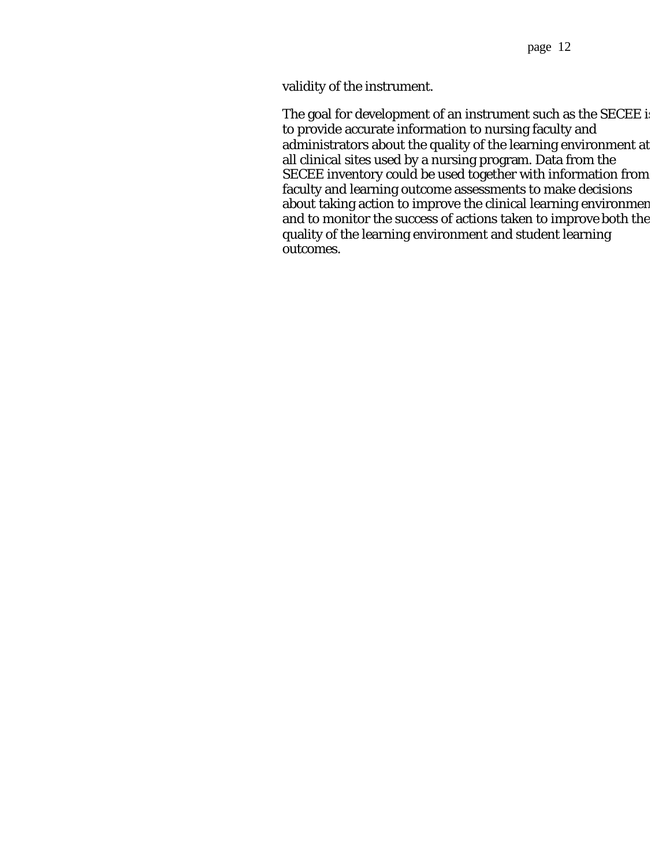validity of the instrument.

The goal for development of an instrument such as the SECEE is to provide accurate information to nursing faculty and administrators about the quality of the learning environment at all clinical sites used by a nursing program. Data from the SECEE inventory could be used together with information from faculty and learning outcome assessments to make decisions about taking action to improve the clinical learning environmen and to monitor the success of actions taken to improve both the quality of the learning environment and student learning outcomes.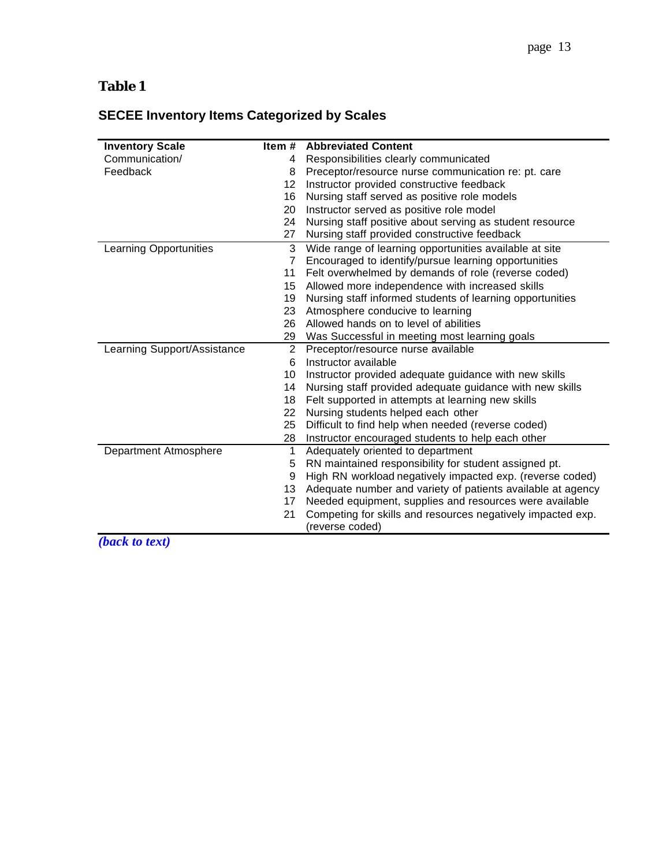# <span id="page-12-0"></span>**Table 1**

# **SECEE Inventory Items Categorized by Scales**

| <b>Inventory Scale</b>                 | Item#          | <b>Abbreviated Content</b>                                  |  |  |  |
|----------------------------------------|----------------|-------------------------------------------------------------|--|--|--|
| Communication/                         | 4              | Responsibilities clearly communicated                       |  |  |  |
| Feedback                               | 8              | Preceptor/resource nurse communication re: pt. care         |  |  |  |
|                                        | 12             | Instructor provided constructive feedback                   |  |  |  |
|                                        | 16             | Nursing staff served as positive role models                |  |  |  |
|                                        | 20             | Instructor served as positive role model                    |  |  |  |
|                                        | 24             | Nursing staff positive about serving as student resource    |  |  |  |
|                                        | 27             | Nursing staff provided constructive feedback                |  |  |  |
| <b>Learning Opportunities</b>          | 3              | Wide range of learning opportunities available at site      |  |  |  |
|                                        | 7              | Encouraged to identify/pursue learning opportunities        |  |  |  |
|                                        | 11             | Felt overwhelmed by demands of role (reverse coded)         |  |  |  |
|                                        | 15             | Allowed more independence with increased skills             |  |  |  |
|                                        | 19             | Nursing staff informed students of learning opportunities   |  |  |  |
|                                        | 23             | Atmosphere conducive to learning                            |  |  |  |
|                                        | 26             | Allowed hands on to level of abilities                      |  |  |  |
|                                        | 29             | Was Successful in meeting most learning goals               |  |  |  |
| Learning Support/Assistance            | $\overline{2}$ | Preceptor/resource nurse available                          |  |  |  |
|                                        | 6              | Instructor available                                        |  |  |  |
|                                        | 10             | Instructor provided adequate guidance with new skills       |  |  |  |
|                                        | 14             | Nursing staff provided adequate guidance with new skills    |  |  |  |
|                                        | 18             | Felt supported in attempts at learning new skills           |  |  |  |
|                                        | 22             | Nursing students helped each other                          |  |  |  |
|                                        | 25             | Difficult to find help when needed (reverse coded)          |  |  |  |
|                                        | 28             | Instructor encouraged students to help each other           |  |  |  |
| Department Atmosphere                  | 1              | Adequately oriented to department                           |  |  |  |
|                                        | 5              | RN maintained responsibility for student assigned pt.       |  |  |  |
|                                        | 9              | High RN workload negatively impacted exp. (reverse coded)   |  |  |  |
|                                        | 13             | Adequate number and variety of patients available at agency |  |  |  |
|                                        | 17             | Needed equipment, supplies and resources were available     |  |  |  |
|                                        | 21             | Competing for skills and resources negatively impacted exp. |  |  |  |
|                                        |                | (reverse coded)                                             |  |  |  |
| $(L_{m,n}L_{m,n}$ and $(L_{m,n}L_{m})$ |                |                                                             |  |  |  |

*[\(back to text\)](#page-6-0)*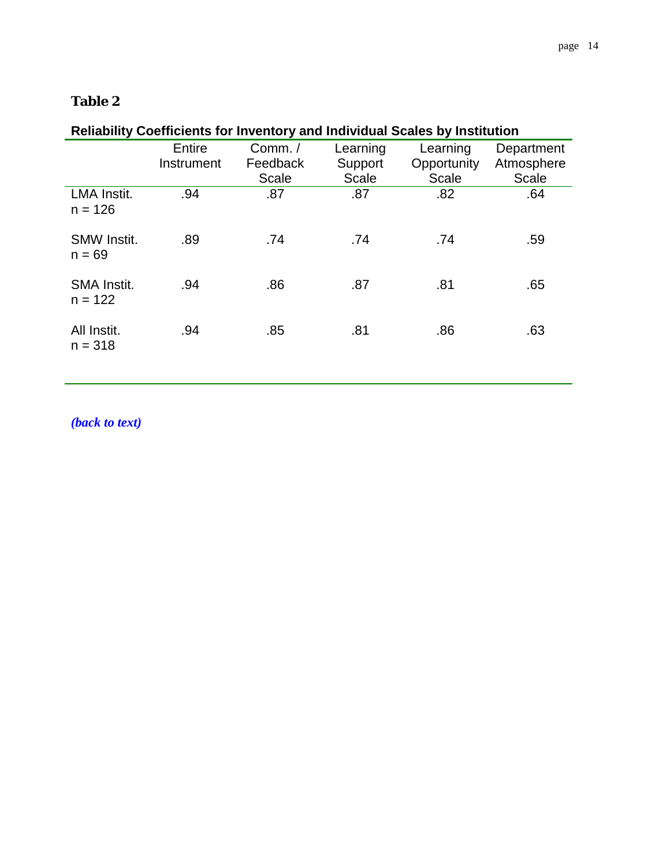## <span id="page-13-0"></span>**Table 2**

#### **Reliability Coefficients for Inventory and Individual Scales by Institution**  Entire Instrument Comm. / Feedback Scale **Learning Support Scale Learning Opportunity** Scale **Department** Atmosphere Scale LMA Instit.  $n = 126$ .94 .87 .87 .82 .64 SMW Instit.  $n = 69$ .89 .74 .74 .74 .59 SMA Instit.  $n = 122$ .94 .86 .87 .81 .65 All Instit.  $n = 318$ .94 .85 .81 .86 .63

*[\(back to text\)](#page-8-0)*